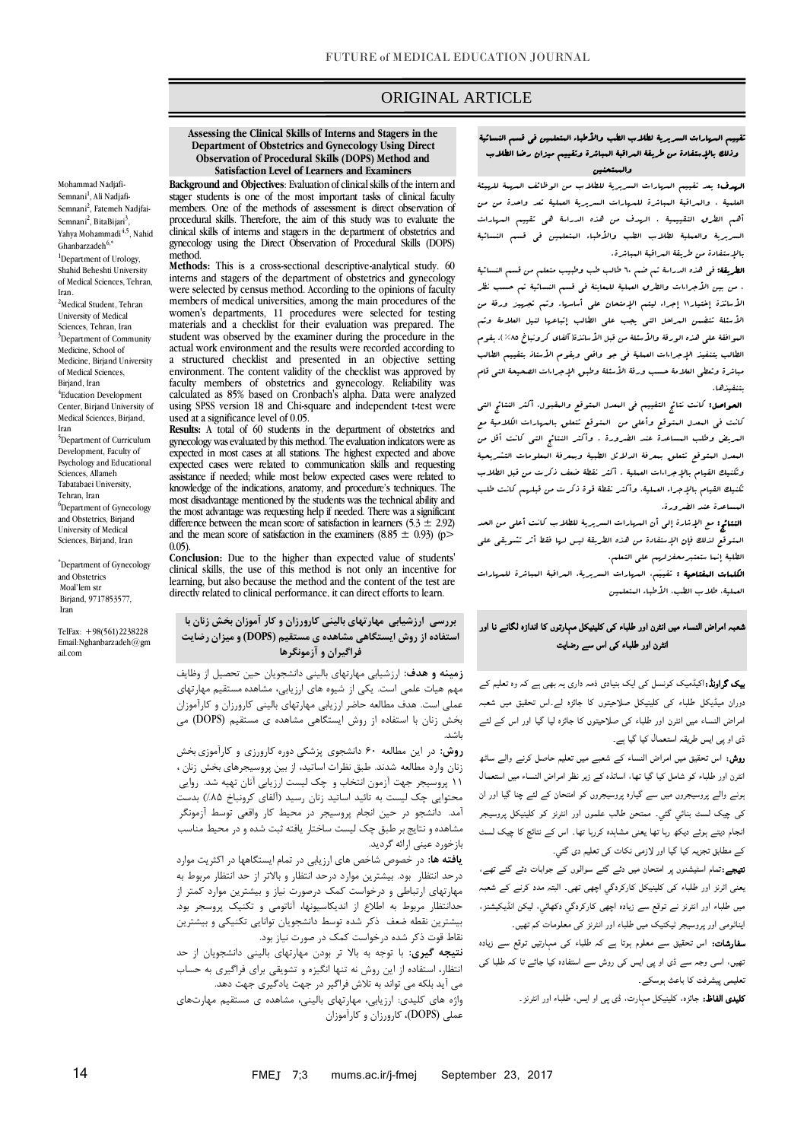## ORIGINAL ARTICLE

## **Department of Obstetrics and Gynecology Using Direct Observation of Procedural Skills (DOPS) Method and Satisfaction Level of Learners and Examiners**

**Background and Objectives**: Evaluation of clinical skills of the intern and stager students is one of the most important tasks of clinical faculty members. One of the methods of assessment is direct observation of procedural skills. Therefore, the aim of this study was to evaluate the clinical skills of interns and stagers in the department of obstetrics and gynecology using the Direct Observation of Procedural Skills (DOPS) method.

**Methods:** This is a cross-sectional descriptive-analytical study. 60 interns and stagers of the department of obstetrics and gynecology were selected by census method. According to the opinions of faculty members of medical universities, among the main procedures of the women's departments, 11 procedures were selected for testing materials and a checklist for their evaluation was prepared. The student was observed by the examiner during the procedure in the actual work environment and the results were recorded according to a structured checklist and presented in an objective setting environment. The content validity of the checklist was approved by faculty members of obstetrics and gynecology. Reliability was calculated as 85% based on Cronbach's alpha. Data were analyzed using SPSS version 18 and Chi-square and independent t-test were used at a significance level of 0.05.

**Results:** A total of 60 students in the department of obstetrics and gynecology was evaluated by this method. The evaluation indicators were as expected in most cases at all stations. The highest expected and above expected cases were related to communication skills and requesting assistance if needed; while most below expected cases were related to knowledge of the indications, anatomy, and procedure's techniques. The most disadvantage mentioned by the students was the technical ability and the most advantage was requesting help if needed. There was a significant difference between the mean score of satisfaction in learners (5.3  $\pm$  2.92) and the mean score of satisfaction in the examiners (8.85  $\pm$  0.93) (p> 0.05).

**Conclusion:** Due to the higher than expected value of students' clinical skills, the use of this method is not only an incentive for learning, but also because the method and the content of the test are directly related to clinical performance, it can direct efforts to learn.

## بررسی **ارزشیابی مهارتهای بالینی کارورزان و کار** آموزان بخش زنان با **استفاده از روش ایستگاهی مشاهده ی مستقیم (DOPS (و میزان رضایت فراگیران و آزمونگرها**

**زمینه و هدف:** ارزشیابی مهارتهای بالینی دانشجویان حین تحصیل از وظایف مهم هیات علمی است. یکی از شیوه های ارزیابی، مشاهده مستقیم مهارتهای عملی است. هدف مطالعه حاضر ارزیابی مهارتهای بالینی کارورزان و کارآموزان بخش زنان با استفاده از روش ایستگاهی مشاهده ی مستقیم (DOPS (می باشد.

**روش:** در این مطالعه 06 دانشجوی پزشکی دوره کارورزی و کارآموزیبخش زنان وارد مطالعه شدند. طبق نظرات اساتید، از بین پروسیجرهای بخش زنان ، 11 پروسیجر جهت آزمون انتخاب و چك لیست ارزیابی آنان تهیه شد. روایی محتوایی چك لیست به تائید اساتید زنان رسید )آلفای کرونباخ %58( بدست آمد. دانشجو در حین انجام پروسیجر در محیط کار واقعی توسط آزمونگر مشاهده و نتایج بر طبق چك لیست ساختار یافته ثبت شده و در محیط مناسب بازخورد عینی ارائه گردید.

**یافته ها:** در خصوص شاخص های ارزیابی در تمام ایستگاهها در اکثریت موارد درحد انتظار بود. بیشترین موارد درحد انتظار و باالتر از حد انتظار مربوط به مهارتهای ارتباطی و درخواست کمك درصورت نیاز و بیشترین موارد کمتر از حدانتظار مربوط به اطالع از اندیکاسیونها، آناتومی و تکنیك پروسجر بود. بیشترین نقطه ضعف ذکر شده توسط دانشجویان توانایی تکنیکی و بیشترین نقاط قوت ذکر شده درخواست کمك در صورت نیاز بود.

**نتیجه گیری:** با توجه به باال تر بودن مهارتهای بالینی دانشجویان از حد انتظار، استفاده از این روش نه تنها انگیزه و تشویقی برای فراگیری به حساب می آید بلکه می تواند به تالش فراگیر در جهت یادگیری جهت دهد.

واژه های کلیدی: ارزیابی، مهارتهای بالینی، مشاهده ی مستقیم مهارتهای عملی (DOPS(، کارورزان و کارآموزان

#### تقييم المهارات السريرية لطالب الطب واألطباء المتعلمين في قسم النسائية وذلك باإلستفادة من طريقة المراقبة المباشرة وتقييم ميزان رضا الطالب والممتحنين

ص

الهدف: يعد تقييم المهارات السريرية للطالب من الوظائف المهمة للهيئة العلمية ، والمراقبة المباشرة للمهارات السريرية العملية تعد واحدة من من أهم الطرق التقييمية . الهدف من هذه الدراسة هي تقييم المهارات السريرية والعملية لطلاب الطب والأطباء المتعلمين في قسم النسائية باإلستفادة من طريقة المراقبة المباشرة.

**الطريقة:** في هذه الدراسة تم ضم ٦٠ طالب طب وطبيب متعلم من قسم النسائية ، من بين األجراءات والطرق العملية للمعاينة في قسم النسائية تم حسب نظر الأساتذة إختيار١١ إجراء ليتم الإمتحان على أساسها. وتم تجهيز ورقة من الأسئلة تتضمن العراحل التي يجب على الطالب إتباعها لنيل العلامة وتم البوافقة على هذه الورقة والأسئلة من قبل الأساتذة( آلفای كرونباخ ٨٥%). يقوم الطالب بتنفيذ الإجراءات العملية في جو واقعي ويقوم الأستاذ بتقييم الطالب مباثرة وتعطى العلامة حسب ورقة الأسئلة وطبور الإجراءات الصحيحة التى قام بتنفيذها.

 الحواصل: كانت نتائج التقييم في المعدل المتوقع والمقبول. أكثر النتائج التي كانت في المعدل المتوقع وأعلى من المتوقع تتعلق بالمهارات الكالمية مع المريض وطلب المساعدة عند الضرورة . وأكثر النتائج التي كانت أقل من المعدل المتوقع تتعلق بمعرفة الدالئل الطبية وبمعرفة المعلومات التشريحية وتكنيك القيام باإلجراءات العملية . أكثر نقطة ضعف ذكرت من قبل الطالب تكنيك القيام باإلجراء العملية، وأكثر نقطة قوة ذكرت من قبلهم كانت طلب المساعدة عند الضرورة.

النتائج: مع اإلشارة خلى أن المهارات السريرية للطالب كانت أعلى من الحد المتوقع لذلك فإن اإلستفادة من هذه الطريقة ليس لها فقط أثر تشويقي على الطلبة إنـما ستعتبر محفزلهم على التعلم.

الكلمات المفتاحية : تقييَم، المهارات السريرية، المراقبة المباشرة للمهارات العملية، طلاب الطب، الأطباء المتعلمين

# شعبہ امراض النساء میں انٹرن اور طلباء کی کلینیکل مہارتوں کا اندازہ لگانے نا اور انٹرن اور طلباء کی اس سے رضایت

بیک گراونڈ:اکیڈمیک کونسل کی ایک بنیادی ذمہ داری یہ بھی ہے کہ وہ تعلیم کے دوران میڈیکل طلباء کی کلینیکل صلاحیتوں کا جائزہ لے۔اس تحقیق میں شعبہ امراض النساء میں انٹرن اور طلباء کی صلاحیتوں کا جائزہ لیا گيا اور اس کے لئے ڈی او پی ایس طریقہ استعمال کیا گيا ہے۔

روش: اس تحقیق میں امراض النساء کے شعبے میں تعلیم حاصل کرنے والے ساٹھ انٹرن اور طلباء کو شامل کیا گيا تھا، اساتذہ کے زیر نظر امراض النساء میں استعمال ہونے والے پروسیجروں میں سے گیارہ پروسیجروں کو امتحان کے لئے چنا گیا اور ان کی چیک لسٹ بنائي گئي۔ ممتحن طالب علموں اور انٹرنز کو کلینیکل پروسیجر انجام دیتے ہوئے دیکھ رہا تھا یعنی مشاہدہ کررہا تھا۔ اس کے نتائج کا چیک لسٹ کے مطابق تجزیہ کیا گيا اور لازمی نکات کی تعلیم دی گئي۔

نتیجے:تمام اسٹیشنوں پر امتحان میں دئے گئے سوالوں کے جوابات دئے گئے تھے، یعنی اٹرنز اور طلباء کی کلینیکل کارکردگي اچھی تھی۔ البتہ مدد کرنے کے شعبہ میں طلباء اور انٹرنز نے توقع سے زیادہ اچھی کارکردگي دکھائي، لیکن انڈیکیشنز، ایناٹومی اور پروسیجر ٹیکنیک میں طلباء اور انٹرنز کی معلومات کم تھیں۔

سفارشات: اس تحقیق سے معلوم ہوتا ہے کہ طلباء کی مہارتیں توقع سے زیادہ تھیں، اسی وجہ سے ڈی او پی ایس کی روش سے استفادہ کیا جائے تا کہ طلبا کی تعلیمی پیشرفت کا باعث ہوسکے۔

کلیدی الفاظ: جائزہ، کلینیکل مہارت، ڈی پی او ایس، طلباء اور انٹرنز۔

# **Assessing the Clinical Skills of Interns and Stagers in the**

Semnani<sup>2</sup>, BitaBijari<sup>3</sup>, Yahya Mohammadi<sup>4,5</sup>, Nahid  $G$ hanbarzadeh $6$ <sup>\*</sup> <sup>1</sup>Department of Urology, Shahid Beheshti University of Medical Sciences, Tehran, Iran. <sup>2</sup>Medical Student, Tehran University of Medical Sciences, Tehran, Iran <sup>3</sup>Department of Community Medicine, School of Medicine, Birjand University of Medical Sciences, Birjand, Iran 4 Education Development Center, Birjand University of Medical Sciences, Birjand, Iran <sup>5</sup>Department of Curriculum Development, Faculty of Psychology and Educational Sciences, Allameh Tabatabaei University, Tehran, Iran <sup>6</sup>Department of Gynecology and Obstetrics, Birjand

Mohammad Nadjafi-Semnani<sup>1</sup>, Ali Nadjafi-Semnani<sup>2</sup>, Fatemeh Nadjfai-

\*Department of Gynecology and Obstetrics Moal'lem str Birjand, 9717853577, Iran

University of Medical Sciences, Birjand, Iran

TelFax: +98(561)2238228 Email:Nghanbarzadeh@gm ail.com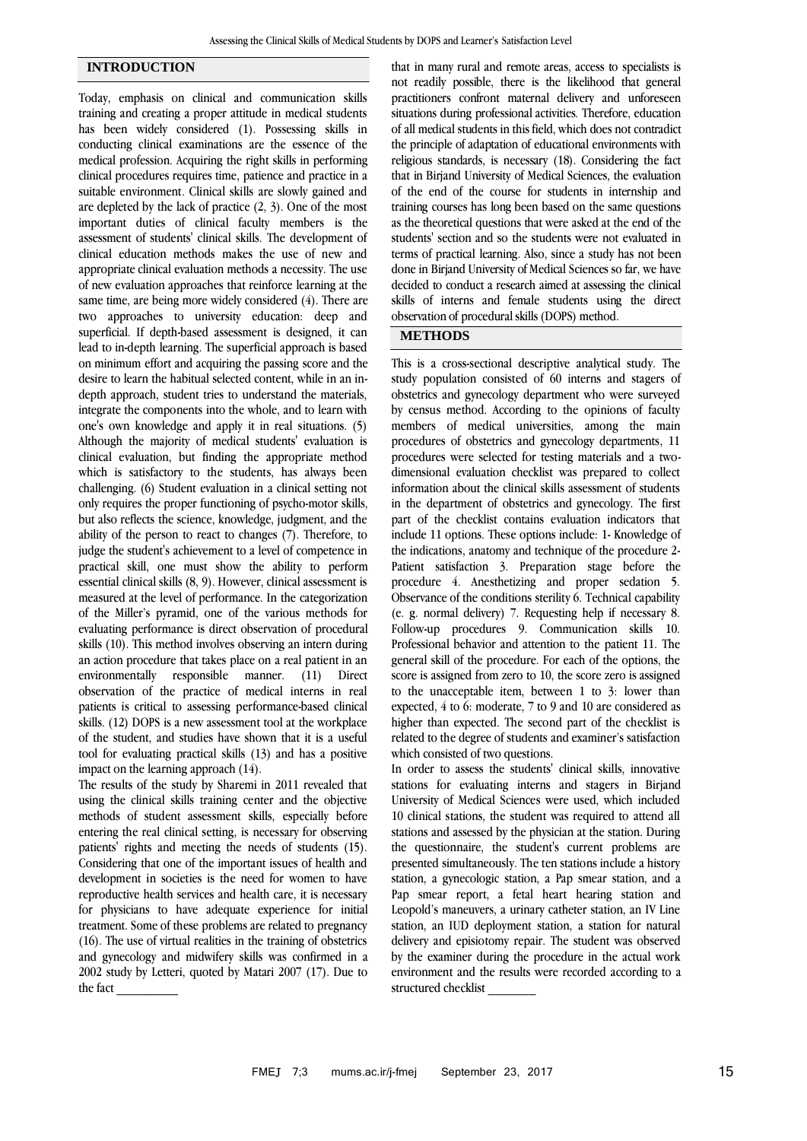## **INTRODUCTION**

Today, emphasis on clinical and communication skills training and creating a proper attitude in medical students has been widely considered (1). Possessing skills in conducting clinical examinations are the essence of the medical profession. Acquiring the right skills in performing clinical procedures requires time, patience and practice in a suitable environment. Clinical skills are slowly gained and are depleted by the lack of practice (2, 3). One of the most important duties of clinical faculty members is the assessment of students' clinical skills. The development of clinical education methods makes the use of new and appropriate clinical evaluation methods a necessity. The use of new evaluation approaches that reinforce learning at the same time, are being more widely considered (4). There are two approaches to university education: deep and superficial. If depth-based assessment is designed, it can lead to in-depth learning. The superficial approach is based on minimum effort and acquiring the passing score and the desire to learn the habitual selected content, while in an indepth approach, student tries to understand the materials, integrate the components into the whole, and to learn with one's own knowledge and apply it in real situations. (5) Although the majority of medical students' evaluation is clinical evaluation, but finding the appropriate method which is satisfactory to the students, has always been challenging. (6) Student evaluation in a clinical setting not only requires the proper functioning of psycho-motor skills, but also reflects the science, knowledge, judgment, and the ability of the person to react to changes (7). Therefore, to judge the student's achievement to a level of competence in practical skill, one must show the ability to perform essential clinical skills (8, 9). However, clinical assessment is measured at the level of performance. In the categorization of the Miller's pyramid, one of the various methods for evaluating performance is direct observation of procedural skills (10). This method involves observing an intern during an action procedure that takes place on a real patient in an environmentally responsible manner. (11) Direct observation of the practice of medical interns in real patients is critical to assessing performance-based clinical skills. (12) DOPS is a new assessment tool at the workplace of the student, and studies have shown that it is a useful tool for evaluating practical skills (13) and has a positive impact on the learning approach (14).

The results of the study by Sharemi in 2011 revealed that using the clinical skills training center and the objective methods of student assessment skills, especially before entering the real clinical setting, is necessary for observing patients' rights and meeting the needs of students (15). Considering that one of the important issues of health and development in societies is the need for women to have reproductive health services and health care, it is necessary for physicians to have adequate experience for initial treatment. Some of these problems are related to pregnancy (16). The use of virtual realities in the training of obstetrics and gynecology and midwifery skills was confirmed in a 2002 study by Letteri, quoted by Matari 2007 (17). Due to the fact \_\_\_\_\_\_\_\_\_

that in many rural and remote areas, access to specialists is not readily possible, there is the likelihood that general practitioners confront maternal delivery and unforeseen situations during professional activities. Therefore, education of all medical students in this field, which does not contradict the principle of adaptation of educational environments with religious standards, is necessary (18). Considering the fact that in Birjand University of Medical Sciences, the evaluation of the end of the course for students in internship and training courses has long been based on the same questions as the theoretical questions that were asked at the end of the students' section and so the students were not evaluated in terms of practical learning. Also, since a study has not been done in Birjand University of Medical Sciences so far, we have decided to conduct a research aimed at assessing the clinical skills of interns and female students using the direct observation of procedural skills (DOPS) method.

# **METHODS**

This is a cross-sectional descriptive analytical study. The study population consisted of 60 interns and stagers of obstetrics and gynecology department who were surveyed by census method. According to the opinions of faculty members of medical universities, among the main procedures of obstetrics and gynecology departments, 11 procedures were selected for testing materials and a twodimensional evaluation checklist was prepared to collect information about the clinical skills assessment of students in the department of obstetrics and gynecology. The first part of the checklist contains evaluation indicators that include 11 options. These options include: 1- Knowledge of the indications, anatomy and technique of the procedure 2- Patient satisfaction 3. Preparation stage before the procedure 4. Anesthetizing and proper sedation 5. Observance of the conditions sterility 6. Technical capability (e. g. normal delivery) 7. Requesting help if necessary 8. Follow-up procedures 9. Communication skills 10. Professional behavior and attention to the patient 11. The general skill of the procedure. For each of the options, the score is assigned from zero to 10, the score zero is assigned to the unacceptable item, between 1 to 3: lower than expected, 4 to 6: moderate, 7 to 9 and 10 are considered as higher than expected. The second part of the checklist is related to the degree of students and examiner's satisfaction which consisted of two questions.

In order to assess the students' clinical skills, innovative stations for evaluating interns and stagers in Birjand University of Medical Sciences were used, which included 10 clinical stations, the student was required to attend all stations and assessed by the physician at the station. During the questionnaire, the student's current problems are presented simultaneously. The ten stations include a history station, a gynecologic station, a Pap smear station, and a Pap smear report, a fetal heart hearing station and Leopold's maneuvers, a urinary catheter station, an IV Line station, an IUD deployment station, a station for natural delivery and episiotomy repair. The student was observed by the examiner during the procedure in the actual work environment and the results were recorded according to a structured checklist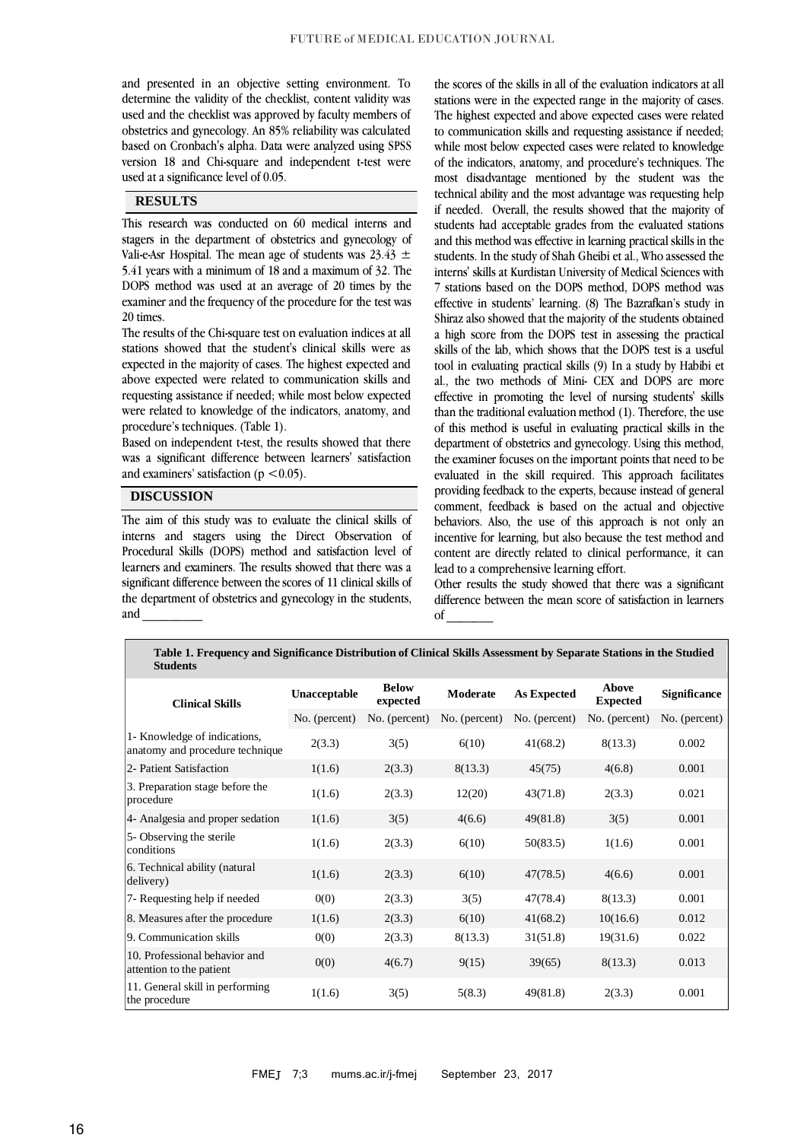and presented in an objective setting environment. To determine the validity of the checklist, content validity was used and the checklist was approved by faculty members of obstetrics and gynecology. An 85% reliability was calculated based on Cronbach's alpha. Data were analyzed using SPSS version 18 and Chi-square and independent t-test were used at a significance level of 0.05.

## **RESULTS**

This research was conducted on 60 medical interns and stagers in the department of obstetrics and gynecology of Vali-e-Asr Hospital. The mean age of students was  $23.43 \pm$ 5.41 years with a minimum of 18 and a maximum of 32. The DOPS method was used at an average of 20 times by the examiner and the frequency of the procedure for the test was 20 times.

The results of the Chi-square test on evaluation indices at all stations showed that the student's clinical skills were as expected in the majority of cases. The highest expected and above expected were related to communication skills and requesting assistance if needed; while most below expected were related to knowledge of the indicators, anatomy, and procedure's techniques. (Table 1).

Based on independent t-test, the results showed that there was a significant difference between learners' satisfaction and examiners' satisfaction ( $p < 0.05$ ).

## **DISCUSSION**

The aim of this study was to evaluate the clinical skills of interns and stagers using the Direct Observation of Procedural Skills (DOPS) method and satisfaction level of learners and examiners. The results showed that there was a significant difference between the scores of 11 clinical skills of the department of obstetrics and gynecology in the students, and \_\_\_\_\_\_\_\_\_

the scores of the skills in all of the evaluation indicators at all stations were in the expected range in the majority of cases. The highest expected and above expected cases were related to communication skills and requesting assistance if needed; while most below expected cases were related to knowledge of the indicators, anatomy, and procedure's techniques. The most disadvantage mentioned by the student was the technical ability and the most advantage was requesting help if needed. Overall, the results showed that the majority of students had acceptable grades from the evaluated stations and this method was effective in learning practical skills in the students. In the study of Shah Gheibi et al., Who assessed the interns' skills at Kurdistan University of Medical Sciences with 7 stations based on the DOPS method, DOPS method was effective in students' learning. (8) The Bazrafkan's study in Shiraz also showed that the majority of the students obtained a high score from the DOPS test in assessing the practical skills of the lab, which shows that the DOPS test is a useful tool in evaluating practical skills (9) In a study by Habibi et al., the two methods of Mini- CEX and DOPS are more effective in promoting the level of nursing students' skills than the traditional evaluation method (1). Therefore, the use of this method is useful in evaluating practical skills in the department of obstetrics and gynecology. Using this method, the examiner focuses on the important points that need to be evaluated in the skill required. This approach facilitates providing feedback to the experts, because instead of general comment, feedback is based on the actual and objective behaviors. Also, the use of this approach is not only an incentive for learning, but also because the test method and content are directly related to clinical performance, it can lead to a comprehensive learning effort.

Other results the study showed that there was a significant difference between the mean score of satisfaction in learners of \_\_\_\_\_\_\_

| <b>Students</b>                                                 |               |                          |               |                    |                                 |                     |
|-----------------------------------------------------------------|---------------|--------------------------|---------------|--------------------|---------------------------------|---------------------|
| <b>Clinical Skills</b>                                          | Unacceptable  | <b>Below</b><br>expected | Moderate      | <b>As Expected</b> | <b>Above</b><br><b>Expected</b> | <b>Significance</b> |
|                                                                 | No. (percent) | No. (percent)            | No. (percent) | No. (percent)      | No. (percent)                   | No. (percent)       |
| 1- Knowledge of indications,<br>anatomy and procedure technique | 2(3.3)        | 3(5)                     | 6(10)         | 41(68.2)           | 8(13.3)                         | 0.002               |
| 2- Patient Satisfaction                                         | 1(1.6)        | 2(3.3)                   | 8(13.3)       | 45(75)             | 4(6.8)                          | 0.001               |
| 3. Preparation stage before the<br>procedure                    | 1(1.6)        | 2(3.3)                   | 12(20)        | 43(71.8)           | 2(3.3)                          | 0.021               |
| 4- Analgesia and proper sedation                                | 1(1.6)        | 3(5)                     | 4(6.6)        | 49(81.8)           | 3(5)                            | 0.001               |
| 5- Observing the sterile<br>conditions                          | 1(1.6)        | 2(3.3)                   | 6(10)         | 50(83.5)           | 1(1.6)                          | 0.001               |
| 6. Technical ability (natural<br>delivery)                      | 1(1.6)        | 2(3.3)                   | 6(10)         | 47(78.5)           | 4(6.6)                          | 0.001               |
| 7- Requesting help if needed                                    | 0(0)          | 2(3.3)                   | 3(5)          | 47(78.4)           | 8(13.3)                         | 0.001               |
| 8. Measures after the procedure                                 | 1(1.6)        | 2(3.3)                   | 6(10)         | 41(68.2)           | 10(16.6)                        | 0.012               |
| 9. Communication skills                                         | 0(0)          | 2(3.3)                   | 8(13.3)       | 31(51.8)           | 19(31.6)                        | 0.022               |
| 10. Professional behavior and<br>attention to the patient       | 0(0)          | 4(6.7)                   | 9(15)         | 39(65)             | 8(13.3)                         | 0.013               |
| 11. General skill in performing<br>the procedure                | 1(1.6)        | 3(5)                     | 5(8.3)        | 49(81.8)           | 2(3.3)                          | 0.001               |

**Table 1. Frequency and Significance Distribution of Clinical Skills Assessment by Separate Stations in the Studied**